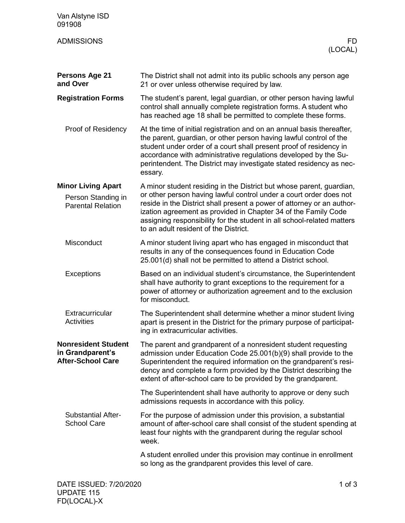| Van Alstyne ISD<br>091908                                                   |                                                                                                                                                                                                                                                                                                                                                                                                           |
|-----------------------------------------------------------------------------|-----------------------------------------------------------------------------------------------------------------------------------------------------------------------------------------------------------------------------------------------------------------------------------------------------------------------------------------------------------------------------------------------------------|
| <b>ADMISSIONS</b>                                                           | FD<br>(LOCAL)                                                                                                                                                                                                                                                                                                                                                                                             |
| <b>Persons Age 21</b><br>and Over                                           | The District shall not admit into its public schools any person age<br>21 or over unless otherwise required by law.                                                                                                                                                                                                                                                                                       |
| <b>Registration Forms</b>                                                   | The student's parent, legal guardian, or other person having lawful<br>control shall annually complete registration forms. A student who<br>has reached age 18 shall be permitted to complete these forms.                                                                                                                                                                                                |
| Proof of Residency                                                          | At the time of initial registration and on an annual basis thereafter,<br>the parent, guardian, or other person having lawful control of the<br>student under order of a court shall present proof of residency in<br>accordance with administrative regulations developed by the Su-<br>perintendent. The District may investigate stated residency as nec-<br>essary.                                   |
| <b>Minor Living Apart</b><br>Person Standing in<br><b>Parental Relation</b> | A minor student residing in the District but whose parent, guardian,<br>or other person having lawful control under a court order does not<br>reside in the District shall present a power of attorney or an author-<br>ization agreement as provided in Chapter 34 of the Family Code<br>assigning responsibility for the student in all school-related matters<br>to an adult resident of the District. |
| Misconduct                                                                  | A minor student living apart who has engaged in misconduct that<br>results in any of the consequences found in Education Code<br>25.001(d) shall not be permitted to attend a District school.                                                                                                                                                                                                            |
| <b>Exceptions</b>                                                           | Based on an individual student's circumstance, the Superintendent<br>shall have authority to grant exceptions to the requirement for a<br>power of attorney or authorization agreement and to the exclusion<br>for misconduct.                                                                                                                                                                            |
| Extracurricular<br><b>Activities</b>                                        | The Superintendent shall determine whether a minor student living<br>apart is present in the District for the primary purpose of participat-<br>ing in extracurricular activities.                                                                                                                                                                                                                        |
| <b>Nonresident Student</b><br>in Grandparent's<br><b>After-School Care</b>  | The parent and grandparent of a nonresident student requesting<br>admission under Education Code 25.001(b)(9) shall provide to the<br>Superintendent the required information on the grandparent's resi-<br>dency and complete a form provided by the District describing the<br>extent of after-school care to be provided by the grandparent.                                                           |
|                                                                             | The Superintendent shall have authority to approve or deny such<br>admissions requests in accordance with this policy.                                                                                                                                                                                                                                                                                    |
| <b>Substantial After-</b><br><b>School Care</b>                             | For the purpose of admission under this provision, a substantial<br>amount of after-school care shall consist of the student spending at<br>least four nights with the grandparent during the regular school<br>week.                                                                                                                                                                                     |
|                                                                             | A student enrolled under this provision may continue in enrollment<br>so long as the grandparent provides this level of care.                                                                                                                                                                                                                                                                             |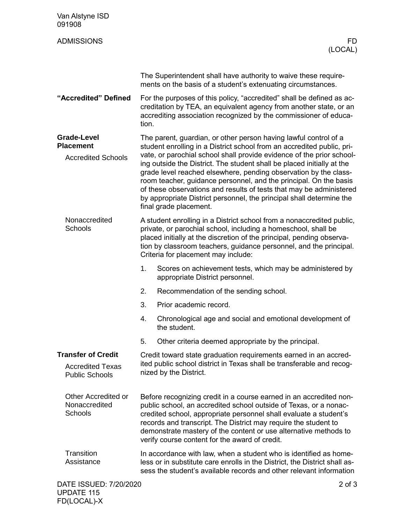| Van Alstyne ISD<br>091908                                                     |                                                                                                                                                                                                                                                                                                                                                                                                                                                                                                                                                                                                                 |                                                                                                                                                                                                                                                                                                                               |  |
|-------------------------------------------------------------------------------|-----------------------------------------------------------------------------------------------------------------------------------------------------------------------------------------------------------------------------------------------------------------------------------------------------------------------------------------------------------------------------------------------------------------------------------------------------------------------------------------------------------------------------------------------------------------------------------------------------------------|-------------------------------------------------------------------------------------------------------------------------------------------------------------------------------------------------------------------------------------------------------------------------------------------------------------------------------|--|
| <b>ADMISSIONS</b>                                                             |                                                                                                                                                                                                                                                                                                                                                                                                                                                                                                                                                                                                                 | FD.<br>(LOCAL)                                                                                                                                                                                                                                                                                                                |  |
|                                                                               |                                                                                                                                                                                                                                                                                                                                                                                                                                                                                                                                                                                                                 | The Superintendent shall have authority to waive these require-<br>ments on the basis of a student's extenuating circumstances.                                                                                                                                                                                               |  |
| "Accredited" Defined                                                          | tion.                                                                                                                                                                                                                                                                                                                                                                                                                                                                                                                                                                                                           | For the purposes of this policy, "accredited" shall be defined as ac-<br>creditation by TEA, an equivalent agency from another state, or an<br>accrediting association recognized by the commissioner of educa-                                                                                                               |  |
| <b>Grade-Level</b><br><b>Placement</b><br><b>Accredited Schools</b>           | The parent, guardian, or other person having lawful control of a<br>student enrolling in a District school from an accredited public, pri-<br>vate, or parochial school shall provide evidence of the prior school-<br>ing outside the District. The student shall be placed initially at the<br>grade level reached elsewhere, pending observation by the class-<br>room teacher, guidance personnel, and the principal. On the basis<br>of these observations and results of tests that may be administered<br>by appropriate District personnel, the principal shall determine the<br>final grade placement. |                                                                                                                                                                                                                                                                                                                               |  |
| Nonaccredited<br><b>Schools</b>                                               |                                                                                                                                                                                                                                                                                                                                                                                                                                                                                                                                                                                                                 | A student enrolling in a District school from a nonaccredited public,<br>private, or parochial school, including a homeschool, shall be<br>placed initially at the discretion of the principal, pending observa-<br>tion by classroom teachers, guidance personnel, and the principal.<br>Criteria for placement may include: |  |
|                                                                               | 1.                                                                                                                                                                                                                                                                                                                                                                                                                                                                                                                                                                                                              | Scores on achievement tests, which may be administered by<br>appropriate District personnel.                                                                                                                                                                                                                                  |  |
|                                                                               | 2.                                                                                                                                                                                                                                                                                                                                                                                                                                                                                                                                                                                                              | Recommendation of the sending school.                                                                                                                                                                                                                                                                                         |  |
|                                                                               | 3.                                                                                                                                                                                                                                                                                                                                                                                                                                                                                                                                                                                                              | Prior academic record.                                                                                                                                                                                                                                                                                                        |  |
|                                                                               | 4.                                                                                                                                                                                                                                                                                                                                                                                                                                                                                                                                                                                                              | Chronological age and social and emotional development of<br>the student.                                                                                                                                                                                                                                                     |  |
|                                                                               | 5.                                                                                                                                                                                                                                                                                                                                                                                                                                                                                                                                                                                                              | Other criteria deemed appropriate by the principal.                                                                                                                                                                                                                                                                           |  |
| <b>Transfer of Credit</b><br><b>Accredited Texas</b><br><b>Public Schools</b> |                                                                                                                                                                                                                                                                                                                                                                                                                                                                                                                                                                                                                 | Credit toward state graduation requirements earned in an accred-<br>ited public school district in Texas shall be transferable and recog-<br>nized by the District.                                                                                                                                                           |  |
| Other Accredited or<br>Nonaccredited<br><b>Schools</b>                        | Before recognizing credit in a course earned in an accredited non-<br>public school, an accredited school outside of Texas, or a nonac-<br>credited school, appropriate personnel shall evaluate a student's<br>records and transcript. The District may require the student to<br>demonstrate mastery of the content or use alternative methods to<br>verify course content for the award of credit.                                                                                                                                                                                                           |                                                                                                                                                                                                                                                                                                                               |  |
| Transition<br>Assistance                                                      | In accordance with law, when a student who is identified as home-<br>less or in substitute care enrolls in the District, the District shall as-<br>sess the student's available records and other relevant information                                                                                                                                                                                                                                                                                                                                                                                          |                                                                                                                                                                                                                                                                                                                               |  |
| DATE ISSUED: 7/20/2020                                                        |                                                                                                                                                                                                                                                                                                                                                                                                                                                                                                                                                                                                                 | $2$ of $3$                                                                                                                                                                                                                                                                                                                    |  |